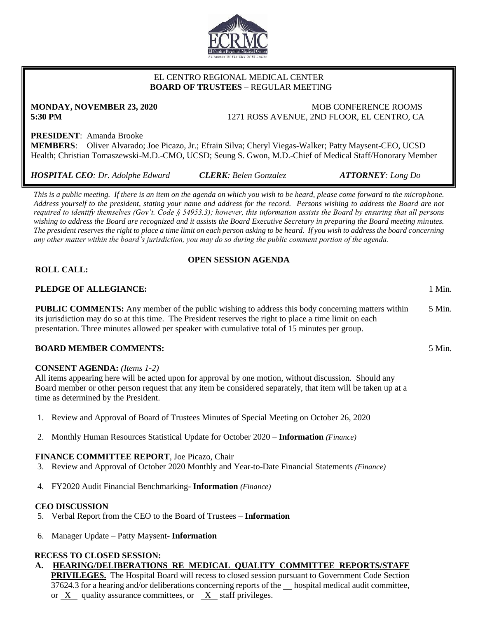

## EL CENTRO REGIONAL MEDICAL CENTER  **BOARD OF TRUSTEES** – REGULAR MEETING

**MONDAY, NOVEMBER 23, 2020 MORE CONFERENCE ROOMS 5:30 PM** 1271 ROSS AVENUE, 2ND FLOOR, EL CENTRO, CA

# **PRESIDENT**: Amanda Brooke

**MEMBERS**: Oliver Alvarado; Joe Picazo, Jr.; Efrain Silva; Cheryl Viegas-Walker; Patty Maysent-CEO, UCSD Health; Christian Tomaszewski-M.D.-CMO, UCSD; Seung S. Gwon, M.D.-Chief of Medical Staff/Honorary Member

*HOSPITAL CEO: Dr. Adolphe Edward CLERK: Belen Gonzalez ATTORNEY: Long Do*

*This is a public meeting. If there is an item on the agenda on which you wish to be heard, please come forward to the microphone. Address yourself to the president, stating your name and address for the record. Persons wishing to address the Board are not required to identify themselves (Gov't. Code § 54953.3); however, this information assists the Board by ensuring that all persons wishing to address the Board are recognized and it assists the Board Executive Secretary in preparing the Board meeting minutes. The president reserves the right to place a time limit on each person asking to be heard. If you wish to address the board concerning any other matter within the board's jurisdiction, you may do so during the public comment portion of the agenda.*

# **OPEN SESSION AGENDA**

# **ROLL CALL:**

## **PLEDGE OF ALLEGIANCE:** 1 Min.

**PUBLIC COMMENTS:** Any member of the public wishing to address this body concerning matters within its jurisdiction may do so at this time. The President reserves the right to place a time limit on each presentation. Three minutes allowed per speaker with cumulative total of 15 minutes per group. 5 Min.

## **BOARD MEMBER COMMENTS:** 5 Min.

## **CONSENT AGENDA:** *(Items 1-2)*

All items appearing here will be acted upon for approval by one motion, without discussion. Should any Board member or other person request that any item be considered separately, that item will be taken up at a time as determined by the President.

- 1. Review and Approval of Board of Trustees Minutes of Special Meeting on October 26, 2020
- 2. Monthly Human Resources Statistical Update for October 2020 **Information** *(Finance)*

## **FINANCE COMMITTEE REPORT**, Joe Picazo, Chair

- 3. Review and Approval of October 2020 Monthly and Year-to-Date Financial Statements *(Finance)*
- 4. FY2020 Audit Financial Benchmarking- **Information** *(Finance)*

## **CEO DISCUSSION**

- 5. Verbal Report from the CEO to the Board of Trustees **Information**
- 6. Manager Update Patty Maysent- **Information**

#### **RECESS TO CLOSED SESSION: A. HEARING/DELIBERATIONS RE MEDICAL QUALITY COMMITTEE REPORTS/STAFF**

**PRIVILEGES.** The Hospital Board will recess to closed session pursuant to Government Code Section 37624.3 for a hearing and/or deliberations concerning reports of the hospital medical audit committee, or X quality assurance committees, or X staff privileges.